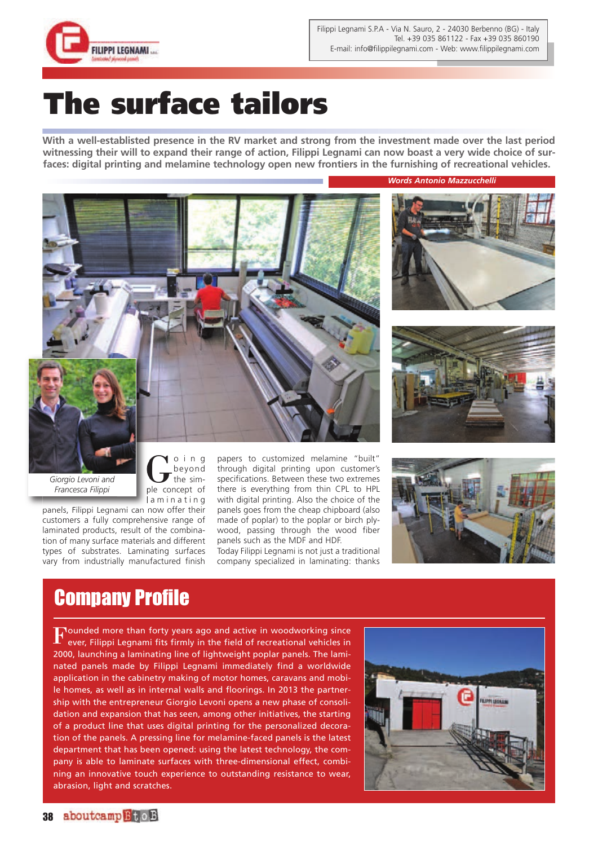

## **The surface tailors**

**With a well-establisted presence in the RV market and strong from the investment made over the last period witnessing their will to expand their range of action, Filippi Legnami can now boast a very wide choice of surfaces: digital printing and melamine technology open new frontiers in the furnishing of recreational vehicles.**



beyond the simple concept of

*Words Antonio Mazzucchelli*





*Giorgio Levoni and Francesca Filippi*

laminating panels, Filippi Legnami can now offer their customers a fully comprehensive range of laminated products, result of the combination of many surface materials and different types of substrates. Laminating surfaces vary from industrially manufactured finish

papers to customized melamine "built" through digital printing upon customer's specifications. Between these two extremes there is everything from thin CPL to HPL with digital printing. Also the choice of the panels goes from the cheap chipboard (also made of poplar) to the poplar or birch plywood, passing through the wood fiber panels such as the MDF and HDF.

Today Filippi Legnami is not just a traditional company specialized in laminating: thanks



## Company Profile

**Jounded more than forty years ago and active in woodworking since** ever, Filippi Legnami fits firmly in the field of recreational vehicles in 2000, launching a laminating line of lightweight poplar panels. The laminated panels made by Filippi Legnami immediately find a worldwide application in the cabinetry making of motor homes, caravans and mobile homes, as well as in internal walls and floorings. In 2013 the partnership with the entrepreneur Giorgio Levoni opens a new phase of consolidation and expansion that has seen, among other initiatives, the starting of a product line that uses digital printing for the personalized decoration of the panels. A pressing line for melamine-faced panels is the latest department that has been opened: using the latest technology, the company is able to laminate surfaces with three-dimensional effect, combining an innovative touch experience to outstanding resistance to wear, abrasion, light and scratches.